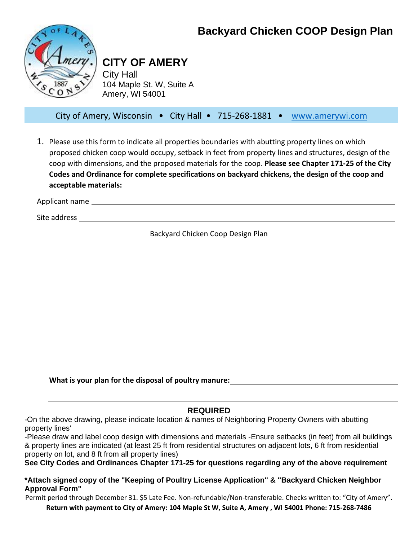# **Backyard Chicken COOP Design Plan**



# **CITY OF AMERY**

City Hall 104 Maple St. W, Suite A Amery, WI 54001

City of Amery, Wisconsin • City Hall • 715-268-1881 • [www.amerywi.com](http://www.amerywi.com/)

1. Please use this form to indicate all properties boundaries with abutting property lines on which proposed chicken coop would occupy, setback in feet from property lines and structures, design of the coop with dimensions, and the proposed materials for the coop. **Please see Chapter 171-25 of the City Codes and Ordinance for complete specifications on backyard chickens, the design of the coop and acceptable materials:**

Applicant name

Site address

Backyard Chicken Coop Design Plan

**What is your plan for the disposal of poultry manure:** 

### **REQUIRED**

-On the above drawing, please indicate location & names of Neighboring Property Owners with abutting property lines'

-Please draw and label coop design with dimensions and materials -Ensure setbacks (in feet) from all buildings & property lines are indicated (at least 25 ft from residential structures on adjacent lots, 6 ft from residential property on lot, and 8 ft from all property lines)

**See City Codes and Ordinances Chapter 171-25 for questions regarding any of the above requirement** 

#### **\*Attach signed copy of the "Keeping of Poultry License Application" & "Backyard Chicken Neighbor Approval Form"**

Permit period through December 31. \$5 Late Fee. Non-refundable/Non-transferable. Checks written to: "City of Amery".

**Return with payment to City of Amery: 104 Maple St W, Suite A, Amery , WI 54001 Phone: 715-268-7486**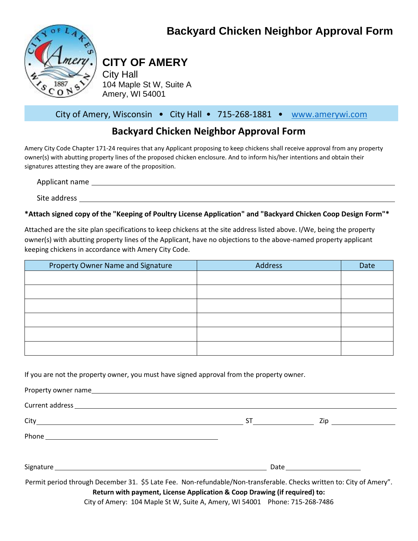# **Backyard Chicken Neighbor Approval Form**



# **CITY OF AMERY**

City Hall 104 Maple St W, Suite A Amery, WI 54001

## City of Amery, Wisconsin • City Hall • 715-268-1881 • [www.amerywi.com](http://www.amerywi.com/)

# **Backyard Chicken Neighbor Approval Form**

Amery City Code Chapter 171-24 requires that any Applicant proposing to keep chickens shall receive approval from any property owner(s) with abutting property lines of the proposed chicken enclosure. And to inform his/her intentions and obtain their signatures attesting they are aware of the proposition.

Applicant name Site address and the state of the state of the state of the state of the state of the state of the state of the state of the state of the state of the state of the state of the state of the state of the state of the state

**\*Attach signed copy of the "Keeping of Poultry License Application" and "Backyard Chicken Coop Design Form"\***

Attached are the site plan specifications to keep chickens at the site address listed above. I/We, being the property owner(s) with abutting property lines of the Applicant, have no objections to the above-named property applicant keeping chickens in accordance with Amery City Code.

| Property Owner Name and Signature | <b>Address</b> | Date |
|-----------------------------------|----------------|------|
|                                   |                |      |
|                                   |                |      |
|                                   |                |      |
|                                   |                |      |
|                                   |                |      |
|                                   |                |      |

If you are not the property owner, you must have signed approval from the property owner.

Property owner name Current address

City ST Zip

Phone **Phone Phone Phone Phone Phone Phone Phone Phone Phone Phone Phone Phone Phone Phone Phone Phone Phone Phone Phone Phone Phone Phone Phone Phone Phone Phone Phone**

| Signatu<br>ata<br>ucc |
|-----------------------|
|-----------------------|

Permit period through December 31. \$5 Late Fee. Non-refundable/Non-transferable. Checks written to: City of Amery". **Return with payment, License Application & Coop Drawing (if required) to:**

City of Amery: 104 Maple St W, Suite A, Amery, WI 54001 Phone: 715-268-7486